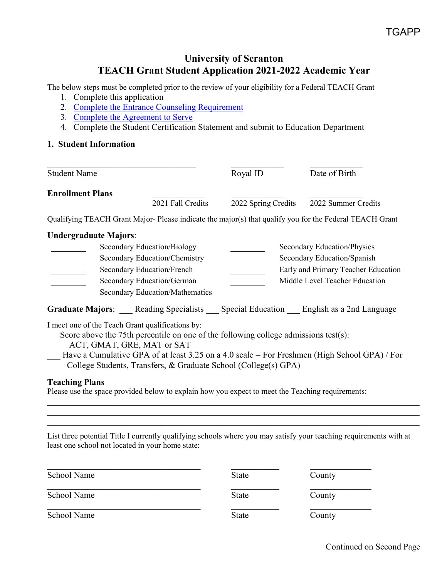# **University of Scranton TEACH Grant Student Application 2021-2022 Academic Year**

The below steps must be completed prior to the review of your eligibility for a Federal TEACH Grant

- 1. Complete this application
- 2. [Complete the Entrance Counseling Requirement](https://studentaid.gov/teach-grant-program)
- 3. [Complete the Agreement to Serve](https://studentaid.gov/teach-grant-program)
- 4. Complete the Student Certification Statement and submit to Education Department

#### **1. Student Information**

| <b>Student Name</b>     |                   | Royal ID            | Date of Birth       |
|-------------------------|-------------------|---------------------|---------------------|
| <b>Enrollment Plans</b> | 2021 Fall Credits | 2022 Spring Credits | 2022 Summer Credits |

Qualifying TEACH Grant Major- Please indicate the major(s) that qualify you for the Federal TEACH Grant

# **Undergraduate Majors**:

| Secondary Education/Biology     | Secondary Education/Physics         |
|---------------------------------|-------------------------------------|
| Secondary Education/Chemistry   | Secondary Education/Spanish         |
| Secondary Education/French      | Early and Primary Teacher Education |
| Secondary Education/German      | Middle Level Teacher Education      |
| Secondary Education/Mathematics |                                     |

Graduate Majors: Reading Specialists Special Education English as a 2nd Language

I meet one of the Teach Grant qualifications by:

 $\sum$  Score above the 75th percentile on one of the following college admissions test(s):

ACT, GMAT, GRE, MAT or SAT

\_\_\_ Have a Cumulative GPA of at least 3.25 on a 4.0 scale = For Freshmen (High School GPA) / For College Students, Transfers, & Graduate School (College(s) GPA)

 $\_$  , and the set of the set of the set of the set of the set of the set of the set of the set of the set of the set of the set of the set of the set of the set of the set of the set of the set of the set of the set of th

 $\_$  , and the set of the set of the set of the set of the set of the set of the set of the set of the set of the set of the set of the set of the set of the set of the set of the set of the set of the set of the set of th

# **Teaching Plans**

Please use the space provided below to explain how you expect to meet the Teaching requirements:

List three potential Title I currently qualifying schools where you may satisfy your teaching requirements with at least one school not located in your home state:

| School Name | <b>State</b> | County |
|-------------|--------------|--------|
| School Name | State        | County |
| School Name | <b>State</b> | County |